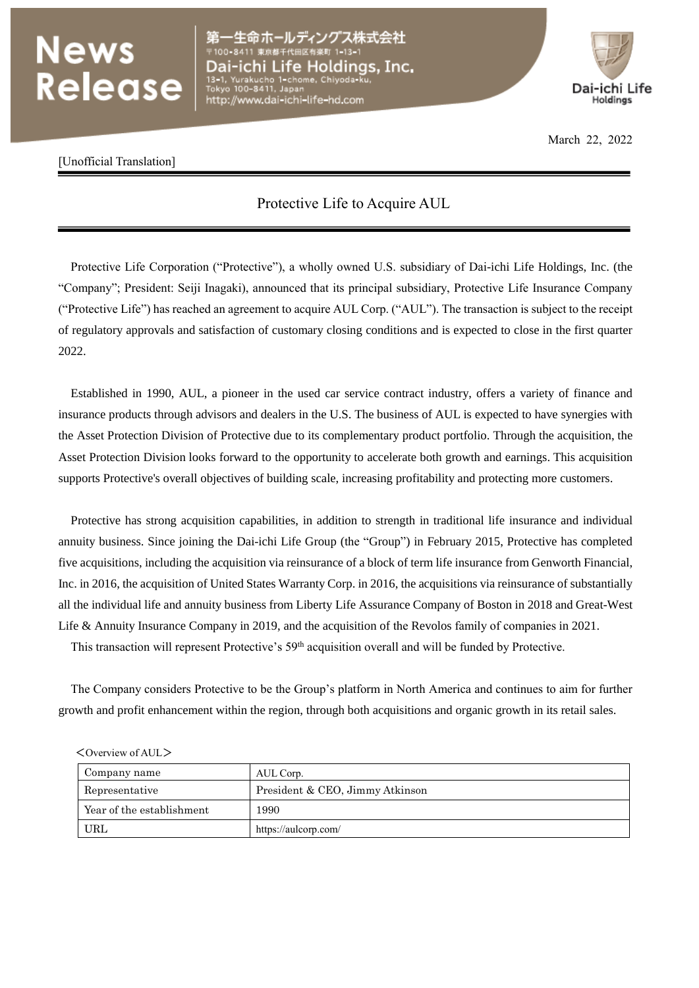## News<br>Release

ヘングス株式会社 Dai-ichi Life Holdings, Inc. to 1-chome, Chiyoda http://www.dai-ichi-life-hd.com



March 22, 2022

## [Unofficial Translation]

## Protective Life to Acquire AUL

Protective Life Corporation ("Protective"), a wholly owned U.S. subsidiary of Dai-ichi Life Holdings, Inc. (the "Company"; President: Seiji Inagaki), announced that its principal subsidiary, Protective Life Insurance Company ("Protective Life") has reached an agreement to acquire AUL Corp. ("AUL"). The transaction is subject to the receipt of regulatory approvals and satisfaction of customary closing conditions and is expected to close in the first quarter 2022.

Established in 1990, AUL, a pioneer in the used car service contract industry, offers a variety of finance and insurance products through advisors and dealers in the U.S. The business of AUL is expected to have synergies with the Asset Protection Division of Protective due to its complementary product portfolio. Through the acquisition, the Asset Protection Division looks forward to the opportunity to accelerate both growth and earnings. This acquisition supports Protective's overall objectives of building scale, increasing profitability and protecting more customers.

Protective has strong acquisition capabilities, in addition to strength in traditional life insurance and individual annuity business. Since joining the Dai-ichi Life Group (the "Group") in February 2015, Protective has completed five acquisitions, including the acquisition via reinsurance of a block of term life insurance from Genworth Financial, Inc. in 2016, the acquisition of United States Warranty Corp. in 2016, the acquisitions via reinsurance of substantially all the individual life and annuity business from Liberty Life Assurance Company of Boston in 2018 and Great-West Life & Annuity Insurance Company in 2019, and the acquisition of the Revolos family of companies in 2021.

This transaction will represent Protective's 59<sup>th</sup> acquisition overall and will be funded by Protective.

The Company considers Protective to be the Group's platform in North America and continues to aim for further growth and profit enhancement within the region, through both acquisitions and organic growth in its retail sales.

| Company name              | AUL Corp.                       |  |
|---------------------------|---------------------------------|--|
| Representative            | President & CEO, Jimmy Atkinson |  |
| Year of the establishment | 1990                            |  |
| URL                       | https://aulcorp.com/            |  |

<Overview of AUL>